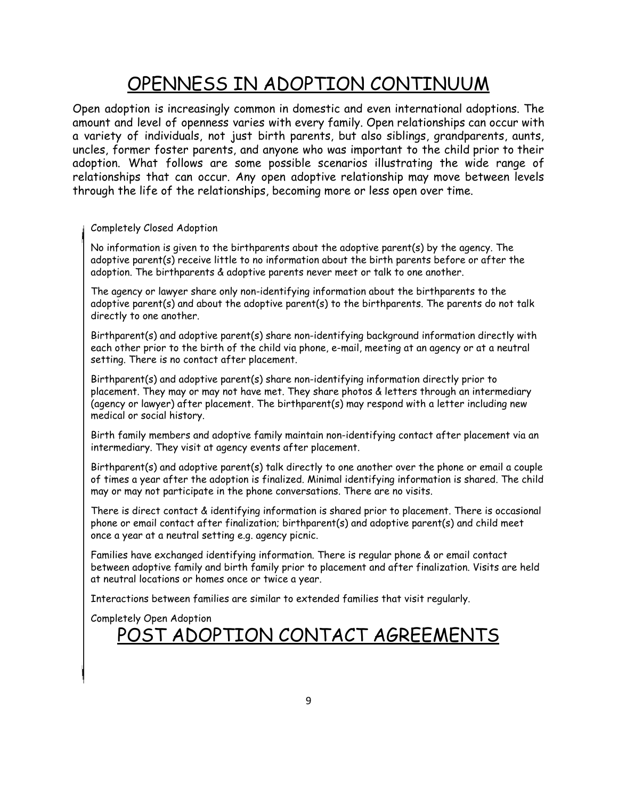## OPENNESS IN ADOPTION CONTINUUM

Open adoption is increasingly common in domestic and even international adoptions. The amount and level of openness varies with every family. Open relationships can occur with a variety of individuals, not just birth parents, but also siblings, grandparents, aunts, uncles, former foster parents, and anyone who was important to the child prior to their adoption. What follows are some possible scenarios illustrating the wide range of relationships that can occur. Any open adoptive relationship may move between levels through the life of the relationships, becoming more or less open over time.

## Completely Closed Adoption

No information is given to the birthparents about the adoptive parent(s) by the agency. The adoptive parent(s) receive little to no information about the birth parents before or after the adoption. The birthparents & adoptive parents never meet or talk to one another.

The agency or lawyer share only non-identifying information about the birthparents to the adoptive parent(s) and about the adoptive parent(s) to the birthparents. The parents do not talk directly to one another.

Birthparent(s) and adoptive parent(s) share non-identifying background information directly with each other prior to the birth of the child via phone, e-mail, meeting at an agency or at a neutral setting. There is no contact after placement.

Birthparent(s) and adoptive parent(s) share non-identifying information directly prior to placement. They may or may not have met. They share photos & letters through an intermediary (agency or lawyer) after placement. The birthparent(s) may respond with a letter including new medical or social history.

Birth family members and adoptive family maintain non-identifying contact after placement via an intermediary. They visit at agency events after placement.

Birthparent(s) and adoptive parent(s) talk directly to one another over the phone or email a couple of times a year after the adoption is finalized. Minimal identifying information is shared. The child may or may not participate in the phone conversations. There are no visits.

There is direct contact & identifying information is shared prior to placement. There is occasional phone or email contact after finalization; birthparent(s) and adoptive parent(s) and child meet once a year at a neutral setting e.g. agency picnic.

Families have exchanged identifying information. There is regular phone & or email contact between adoptive family and birth family prior to placement and after finalization. Visits are held at neutral locations or homes once or twice a year.

Interactions between families are similar to extended families that visit regularly.

Completely Open Adoption

## <u>T ADOPTION CONTACT AGREEMENTS</u>